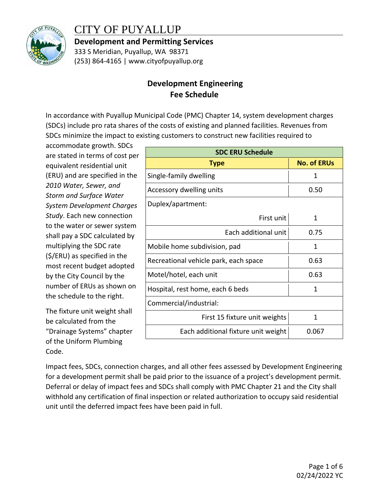

## CITY OF PUYALLUP

**Development and Permitting Services**

333 S Meridian, Puyallup, WA 98371 (253) 864-4165 | www.cityofpuyallup.org

## **Development Engineering Fee Schedule**

In accordance with Puyallup Municipal Code (PMC) Chapter 14, system development charges (SDCs) include pro rata shares of the costs of existing and planned facilities. Revenues from SDCs minimize the impact to existing customers to construct new facilities required to

accommodate growth. SDCs are stated in terms of cost per equivalent residential unit (ERU) and are specified in the *2010 Water, Sewer, and Storm and Surface Water System Development Charges Study*. Each new connection to the water or sewer system shall pay a SDC calculated by multiplying the SDC rate (\$/ERU) as specified in the most recent budget adopted by the City Council by the number of ERUs as shown on the schedule to the right.

The fixture unit weight shall be calculated from the "Drainage Systems" chapter of the Uniform Plumbing Code.

| <b>SDC ERU Schedule</b>               |                    |  |
|---------------------------------------|--------------------|--|
| <b>Type</b>                           | <b>No. of ERUs</b> |  |
| Single-family dwelling                | 1                  |  |
| Accessory dwelling units              | 0.50               |  |
| Duplex/apartment:                     |                    |  |
| First unit                            | 1                  |  |
| Each additional unit                  | 0.75               |  |
| Mobile home subdivision, pad          | 1                  |  |
| Recreational vehicle park, each space | 0.63               |  |
| Motel/hotel, each unit                | 0.63               |  |
| Hospital, rest home, each 6 beds      | 1                  |  |
| Commercial/industrial:                |                    |  |
| First 15 fixture unit weights         | 1                  |  |
| Each additional fixture unit weight   | 0.067              |  |

Impact fees, SDCs, connection charges, and all other fees assessed by Development Engineering for a development permit shall be paid prior to the issuance of a project's development permit. Deferral or delay of impact fees and SDCs shall comply with PMC Chapter 21 and the City shall withhold any certification of final inspection or related authorization to occupy said residential unit until the deferred impact fees have been paid in full.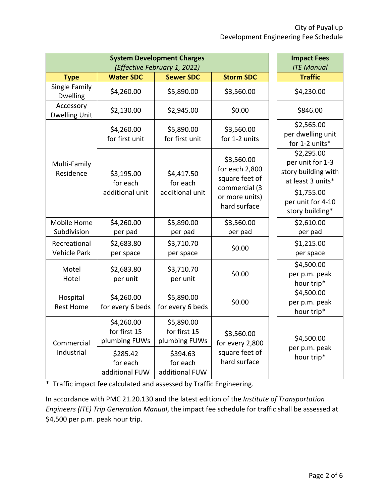| <b>System Development Charges</b><br>(Effective February 1, 2022)                                                                                  |                                             |                                                                            | <b>Impact Fees</b><br><b>ITE Manual</b> |                                                   |
|----------------------------------------------------------------------------------------------------------------------------------------------------|---------------------------------------------|----------------------------------------------------------------------------|-----------------------------------------|---------------------------------------------------|
| <b>Type</b>                                                                                                                                        | <b>Water SDC</b>                            | <b>Sewer SDC</b>                                                           | <b>Storm SDC</b>                        | <b>Traffic</b>                                    |
| Single Family<br><b>Dwelling</b>                                                                                                                   | \$4,260.00                                  | \$5,890.00                                                                 | \$3,560.00                              | \$4,230.00                                        |
| Accessory<br><b>Dwelling Unit</b>                                                                                                                  | \$2,130.00                                  | \$2,945.00                                                                 | \$0.00                                  | \$846.00                                          |
|                                                                                                                                                    | \$4,260.00<br>for first unit                | \$5,890.00<br>for first unit                                               | \$3,560.00<br>for 1-2 units             | \$2,565.00<br>per dwelling unit<br>for 1-2 units* |
| \$3,560.00<br>Multi-Family<br>Residence<br>\$3,195.00<br>\$4,417.50<br>for each<br>for each<br>commercial (3<br>additional unit<br>additional unit | for each 2,800<br>square feet of            | \$2,295.00<br>per unit for 1-3<br>story building with<br>at least 3 units* |                                         |                                                   |
|                                                                                                                                                    | or more units)<br>hard surface              | \$1,755.00<br>per unit for 4-10<br>story building*                         |                                         |                                                   |
| Mobile Home<br>Subdivision                                                                                                                         | \$4,260.00<br>per pad                       | \$5,890.00<br>per pad                                                      | \$3,560.00<br>per pad                   | \$2,610.00<br>per pad                             |
| Recreational<br><b>Vehicle Park</b>                                                                                                                | \$2,683.80<br>per space                     | \$3,710.70<br>per space                                                    | \$0.00                                  | \$1,215.00<br>per space                           |
| Motel<br>Hotel                                                                                                                                     | \$2,683.80<br>per unit                      | \$3,710.70<br>per unit                                                     | \$0.00                                  | \$4,500.00<br>per p.m. peak<br>hour trip*         |
| Hospital<br><b>Rest Home</b>                                                                                                                       | \$4,260.00<br>for every 6 beds              | \$5,890.00<br>for every 6 beds                                             | \$0.00                                  | \$4,500.00<br>per p.m. peak<br>hour trip*         |
| Commercial                                                                                                                                         | \$4,260.00<br>for first 15<br>plumbing FUWs | \$5,890.00<br>for first 15<br>plumbing FUWs                                | \$3,560.00<br>for every 2,800           | \$4,500.00<br>per p.m. peak                       |
| Industrial<br>\$285.42<br>for each<br>additional FUW                                                                                               |                                             | \$394.63<br>for each<br>additional FUW                                     | square feet of<br>hard surface          | hour trip*                                        |

\* Traffic impact fee calculated and assessed by Traffic Engineering.

In accordance with PMC 21.20.130 and the latest edition of the *Institute of Transportation Engineers (ITE) Trip Generation Manual*, the impact fee schedule for traffic shall be assessed at \$4,500 per p.m. peak hour trip.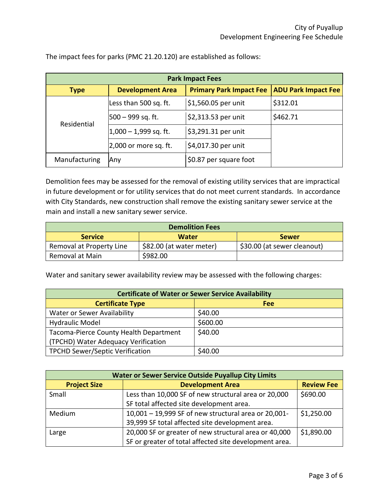| <b>Park Impact Fees</b> |                          |                                |                            |
|-------------------------|--------------------------|--------------------------------|----------------------------|
| <b>Type</b>             | <b>Development Area</b>  | <b>Primary Park Impact Fee</b> | <b>ADU Park Impact Fee</b> |
|                         | Less than 500 sq. ft.    | \$1,560.05 per unit            | \$312.01                   |
| Residential             | $500 - 999$ sq. ft.      | \$2,313.53 per unit            | \$462.71                   |
|                         | $ 1,000 - 1,999$ sq. ft. | \$3,291.31 per unit            |                            |
|                         | $ 2,000$ or more sq. ft. | \$4,017.30 per unit            |                            |
| Manufacturing           | Any                      | \$0.87 per square foot         |                            |

The impact fees for parks (PMC 21.20.120) are established as follows:

Demolition fees may be assessed for the removal of existing utility services that are impractical in future development or for utility services that do not meet current standards. In accordance with City Standards, new construction shall remove the existing sanitary sewer service at the main and install a new sanitary sewer service.

| <b>Demolition Fees</b>   |                          |                             |
|--------------------------|--------------------------|-----------------------------|
| <b>Service</b>           | <b>Water</b>             | <b>Sewer</b>                |
| Removal at Property Line | \$82.00 (at water meter) | \$30.00 (at sewer cleanout) |
| Removal at Main          | \$982.00                 |                             |

Water and sanitary sewer availability review may be assessed with the following charges:

| <b>Certificate of Water or Sewer Service Availability</b> |          |  |
|-----------------------------------------------------------|----------|--|
| <b>Certificate Type</b>                                   | Fee      |  |
| Water or Sewer Availability                               | \$40.00  |  |
| <b>Hydraulic Model</b>                                    | \$600.00 |  |
| Tacoma-Pierce County Health Department                    | \$40.00  |  |
| (TPCHD) Water Adequacy Verification                       |          |  |
| <b>TPCHD Sewer/Septic Verification</b>                    | \$40.00  |  |

| <b>Water or Sewer Service Outside Puyallup City Limits</b> |                                                        |                   |
|------------------------------------------------------------|--------------------------------------------------------|-------------------|
| <b>Development Area</b><br><b>Project Size</b>             |                                                        | <b>Review Fee</b> |
| Small                                                      | Less than 10,000 SF of new structural area or 20,000   | \$690.00          |
|                                                            | SF total affected site development area.               |                   |
| Medium                                                     | 10,001 - 19,999 SF of new structural area or 20,001-   | \$1,250.00        |
|                                                            | 39,999 SF total affected site development area.        |                   |
| Large                                                      | 20,000 SF or greater of new structural area or 40,000  | \$1,890.00        |
|                                                            | SF or greater of total affected site development area. |                   |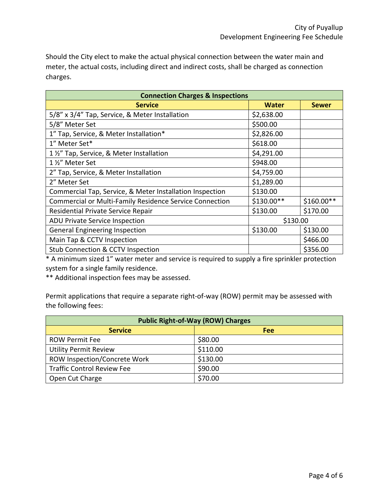Should the City elect to make the actual physical connection between the water main and meter, the actual costs, including direct and indirect costs, shall be charged as connection charges.

| <b>Connection Charges &amp; Inspections</b>              |              |              |
|----------------------------------------------------------|--------------|--------------|
| <b>Service</b>                                           | <b>Water</b> | <b>Sewer</b> |
| 5/8" x 3/4" Tap, Service, & Meter Installation           | \$2,638.00   |              |
| 5/8" Meter Set                                           | \$500.00     |              |
| 1" Tap, Service, & Meter Installation*                   | \$2,826.00   |              |
| 1" Meter Set*                                            | \$618.00     |              |
| 1 1/2" Tap, Service, & Meter Installation                | \$4,291.00   |              |
| 1 1/2" Meter Set                                         | \$948.00     |              |
| 2" Tap, Service, & Meter Installation                    | \$4,759.00   |              |
| 2" Meter Set                                             | \$1,289.00   |              |
| Commercial Tap, Service, & Meter Installation Inspection | \$130.00     |              |
| Commercial or Multi-Family Residence Service Connection  | \$130.00**   | \$160.00**   |
| Residential Private Service Repair                       | \$130.00     | \$170.00     |
| <b>ADU Private Service Inspection</b>                    | \$130.00     |              |
| <b>General Engineering Inspection</b>                    | \$130.00     | \$130.00     |
| Main Tap & CCTV Inspection                               |              | \$466.00     |
| <b>Stub Connection &amp; CCTV Inspection</b>             |              | \$356.00     |

\* A minimum sized 1" water meter and service is required to supply a fire sprinkler protection system for a single family residence.

\*\* Additional inspection fees may be assessed.

Permit applications that require a separate right-of-way (ROW) permit may be assessed with the following fees:

| <b>Public Right-of-Way (ROW) Charges</b> |          |  |
|------------------------------------------|----------|--|
| <b>Service</b>                           | Fee      |  |
| <b>ROW Permit Fee</b>                    | \$80.00  |  |
| <b>Utility Permit Review</b>             | \$110.00 |  |
| ROW Inspection/Concrete Work             | \$130.00 |  |
| <b>Traffic Control Review Fee</b>        | \$90.00  |  |
| Open Cut Charge                          | \$70.00  |  |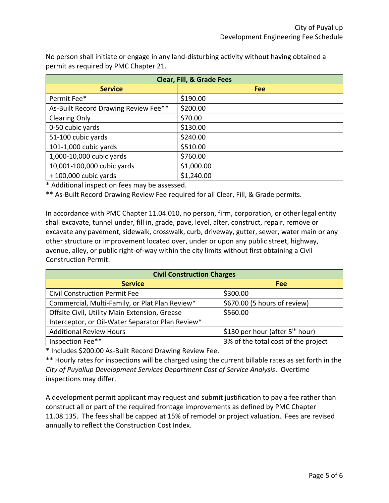No person shall initiate or engage in any land-disturbing activity without having obtained a permit as required by PMC Chapter 21.

| <b>Clear, Fill, &amp; Grade Fees</b> |            |  |
|--------------------------------------|------------|--|
| <b>Service</b>                       | <b>Fee</b> |  |
| Permit Fee*                          | \$190.00   |  |
| As-Built Record Drawing Review Fee** | \$200.00   |  |
| <b>Clearing Only</b>                 | \$70.00    |  |
| 0-50 cubic yards                     | \$130.00   |  |
| 51-100 cubic yards                   | \$240.00   |  |
| 101-1,000 cubic yards                | \$510.00   |  |
| 1,000-10,000 cubic yards             | \$760.00   |  |
| 10,001-100,000 cubic yards           | \$1,000.00 |  |
| $+100,000$ cubic yards               | \$1,240.00 |  |

\* Additional inspection fees may be assessed.

\*\* As-Built Record Drawing Review Fee required for all Clear, Fill, & Grade permits.

In accordance with PMC Chapter 11.04.010, no person, firm, corporation, or other legal entity shall excavate, tunnel under, fill in, grade, pave, level, alter, construct, repair, remove or excavate any pavement, sidewalk, crosswalk, curb, driveway, gutter, sewer, water main or any other structure or improvement located over, under or upon any public street, highway, avenue, alley, or public right-of-way within the city limits without first obtaining a Civil Construction Permit.

| <b>Civil Construction Charges</b>                |                                             |  |
|--------------------------------------------------|---------------------------------------------|--|
| <b>Service</b>                                   | <b>Fee</b>                                  |  |
| <b>Civil Construction Permit Fee</b>             | \$300.00                                    |  |
| Commercial, Multi-Family, or Plat Plan Review*   | \$670.00 (5 hours of review)                |  |
| Offsite Civil, Utility Main Extension, Grease    | \$560.00                                    |  |
| Interceptor, or Oil-Water Separator Plan Review* |                                             |  |
| <b>Additional Review Hours</b>                   | \$130 per hour (after 5 <sup>th</sup> hour) |  |
| Inspection Fee**                                 | 3% of the total cost of the project         |  |

\* Includes \$200.00 As-Built Record Drawing Review Fee.

\*\* Hourly rates for inspections will be charged using the current billable rates as set forth in the *City of Puyallup Development Services Department Cost of Service Analysis*. Overtime inspections may differ.

A development permit applicant may request and submit justification to pay a fee rather than construct all or part of the required frontage improvements as defined by PMC Chapter 11.08.135. The fees shall be capped at 15% of remodel or project valuation. Fees are revised annually to reflect the Construction Cost Index.